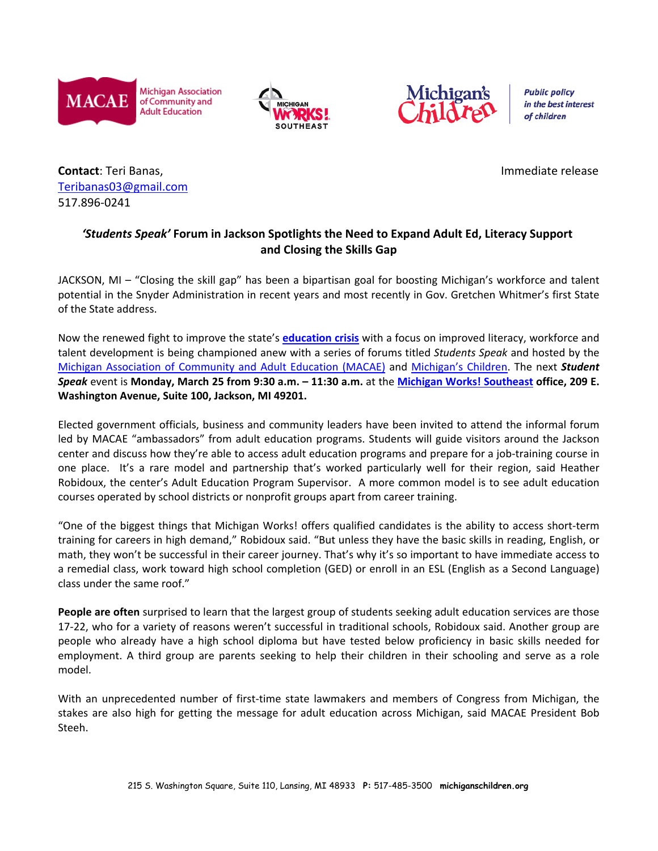

**Michigan Association** of Community and **Adult Education** 





**Public policy** in the best interest of children

**Contact**: Teri Banas, **Immediate release** and the contact: Teri Banas, Immediate release Teribanas03@gmail.com 517.896-0241

## *'Students Speak'* **Forum in Jackson Spotlights the Need to Expand Adult Ed, Literacy Support and Closing the Skills Gap**

JACKSON, MI – "Closing the skill gap" has been a bipartisan goal for boosting Michigan's workforce and talent potential in the Snyder Administration in recent years and most recently in Gov. Gretchen Whitmer's first State of the State address.

Now the renewed fight to improve the state's **education crisis** with a focus on improved literacy, workforce and talent development is being championed anew with a series of forums titled *Students Speak* and hosted by the Michigan Association of Community and Adult Education (MACAE) and Michigan's Children. The next *Student Speak* event is **Monday, March 25 from 9:30 a.m. – 11:30 a.m.** at the **Michigan Works! Southeast office, 209 E. Washington Avenue, Suite 100, Jackson, MI 49201.**

Elected government officials, business and community leaders have been invited to attend the informal forum led by MACAE "ambassadors" from adult education programs. Students will guide visitors around the Jackson center and discuss how they're able to access adult education programs and prepare for a job-training course in one place. It's a rare model and partnership that's worked particularly well for their region, said Heather Robidoux, the center's Adult Education Program Supervisor. A more common model is to see adult education courses operated by school districts or nonprofit groups apart from career training.

"One of the biggest things that Michigan Works! offers qualified candidates is the ability to access short-term training for careers in high demand," Robidoux said. "But unless they have the basic skills in reading, English, or math, they won't be successful in their career journey. That's why it's so important to have immediate access to a remedial class, work toward high school completion (GED) or enroll in an ESL (English as a Second Language) class under the same roof."

**People are often** surprised to learn that the largest group of students seeking adult education services are those 17-22, who for a variety of reasons weren't successful in traditional schools, Robidoux said. Another group are people who already have a high school diploma but have tested below proficiency in basic skills needed for employment. A third group are parents seeking to help their children in their schooling and serve as a role model.

With an unprecedented number of first-time state lawmakers and members of Congress from Michigan, the stakes are also high for getting the message for adult education across Michigan, said MACAE President Bob Steeh.